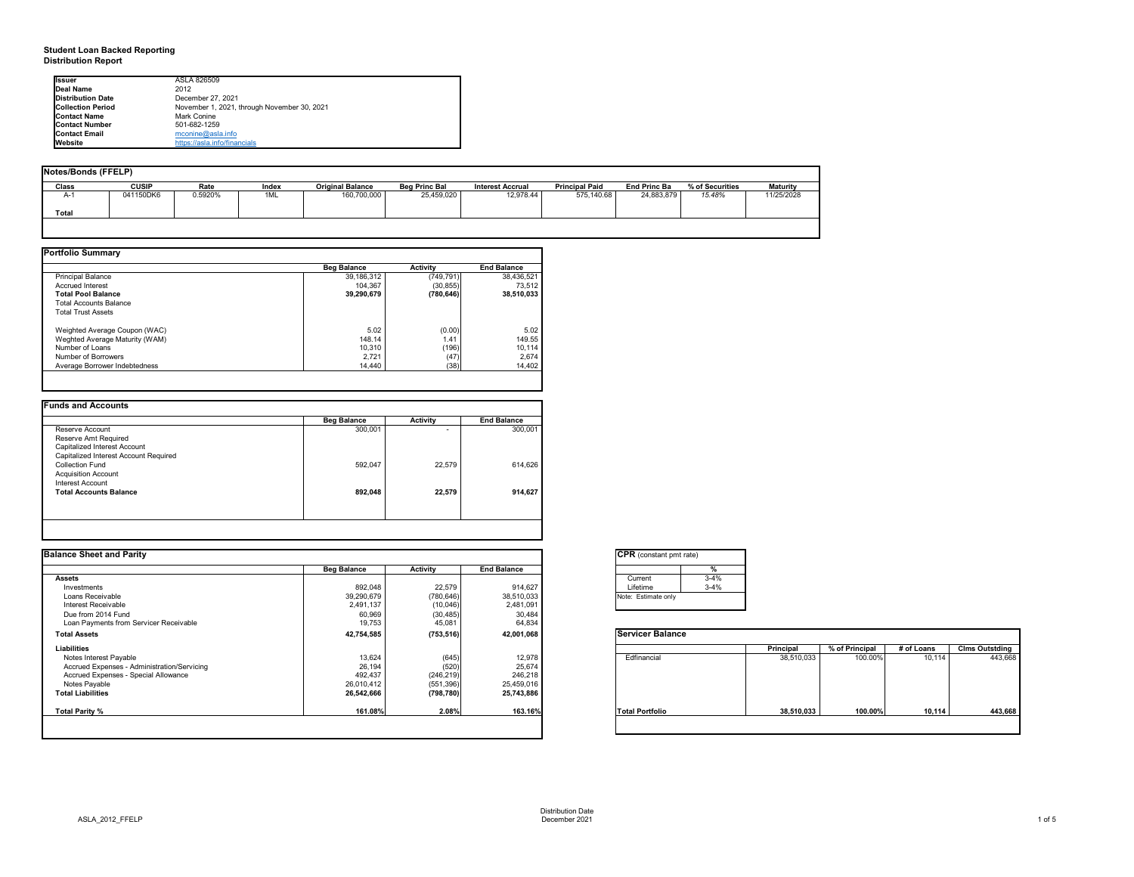# **Student Loan Backed Reporting Distribution Report**

## **Notes/Bonds (FFELP)**

| Notes/Bonds (FFELP) |              |         |       |                         |                      |                         |                       |                     |                 |                 |
|---------------------|--------------|---------|-------|-------------------------|----------------------|-------------------------|-----------------------|---------------------|-----------------|-----------------|
| <b>Class</b>        | <b>CUSIP</b> | Rate    | Index | <b>Original Balance</b> | <b>Beg Princ Bal</b> | <b>Interest Accrual</b> | <b>Principal Paid</b> | <b>End Princ Ba</b> | % of Securities | <b>Maturity</b> |
| $H - I$             | 041150DK6    | 0.5920% | 1ML   | 160,700,000             | 25,459,020           | 12,978.44               | 575,140.68            | 24,883,879          | 15.48%          | 11/25/2028      |
| <b>Total</b>        |              |         |       |                         |                      |                         |                       |                     |                 |                 |
|                     |              |         |       |                         |                      |                         |                       |                     |                 |                 |

|                                | <b>Beg Balance</b> | <b>Activity</b> | <b>End Balance</b> |
|--------------------------------|--------------------|-----------------|--------------------|
| <b>Principal Balance</b>       | 39,186,312         | (749, 791)      | 38,436,521         |
| <b>Accrued Interest</b>        | 104,367            | (30, 855)       | 73,512             |
| <b>Total Pool Balance</b>      | 39,290,679         | (780, 646)      | 38,510,033         |
| <b>Total Accounts Balance</b>  |                    |                 |                    |
| <b>Total Trust Assets</b>      |                    |                 |                    |
| Weighted Average Coupon (WAC)  | 5.02               | (0.00)          | 5.02               |
| Weghted Average Maturity (WAM) | 148.14             | 1.41            | 149.55             |
| Number of Loans                | 10,310             | (196)           | 10,114             |
| <b>Number of Borrowers</b>     | 2,721              | (47)            | 2,674              |
| Average Borrower Indebtedness  | 14,440             | (38)            | 14,402             |

|                                       | <b>Beg Balance</b> | <b>Activity</b> | <b>End Balance</b> |
|---------------------------------------|--------------------|-----------------|--------------------|
| Reserve Account                       | 300,001            |                 | 300,001            |
| Reserve Amt Required                  |                    |                 |                    |
| Capitalized Interest Account          |                    |                 |                    |
| Capitalized Interest Account Required |                    |                 |                    |
| <b>Collection Fund</b>                | 592,047            | 22,579          | 614,626            |
| <b>Acquisition Account</b>            |                    |                 |                    |
| Interest Account                      |                    |                 |                    |
| <b>Total Accounts Balance</b>         | 892,048            | 22,579          | 914,627            |
|                                       |                    |                 |                    |
|                                       |                    |                 |                    |

| onstant pmt rate) |          |  |  |  |  |  |  |
|-------------------|----------|--|--|--|--|--|--|
|                   | %        |  |  |  |  |  |  |
| nt.               | $3-4%$   |  |  |  |  |  |  |
| me                | $3 - 4%$ |  |  |  |  |  |  |
| timate only       |          |  |  |  |  |  |  |
|                   |          |  |  |  |  |  |  |

|          | <b>Principal</b> | % of Principal | # of Loans | <b>Clms Outstding</b> |
|----------|------------------|----------------|------------|-----------------------|
| ancial   | 38,510,033       | 100.00%        | 10,114     | 443,668               |
| ortfolio | 38,510,033       | 100.00%        | 10,114     | 443,668               |

| <b>Ilssuer</b>           | ASLA 826509                                 |
|--------------------------|---------------------------------------------|
| Deal Name                | 2012                                        |
| Distribution Date        | December 27, 2021                           |
| <b>Collection Period</b> | November 1, 2021, through November 30, 2021 |
| <b>Contact Name</b>      | Mark Conine                                 |
| <b>Contact Number</b>    | 501-682-1259                                |
| <b>Contact Email</b>     | mconine@asla.info                           |
| <b>I</b> Website         | https://asla.info/financials                |

| <b>Balance Sheet and Parity</b>             |                    |                 |                    | <b>CPR</b> (constant pmt rate) |          |                  |                |            |                       |
|---------------------------------------------|--------------------|-----------------|--------------------|--------------------------------|----------|------------------|----------------|------------|-----------------------|
|                                             | <b>Beg Balance</b> | <b>Activity</b> | <b>End Balance</b> |                                |          |                  |                |            |                       |
| <b>Assets</b>                               |                    |                 |                    | Current                        | $3 - 4%$ |                  |                |            |                       |
| Investments                                 | 892,048            | 22,579          | 914,627            | Lifetime                       | $3 - 4%$ |                  |                |            |                       |
| Loans Receivable                            | 39,290,679         | (780, 646)      | 38,510,033         | Note: Estimate only            |          |                  |                |            |                       |
| Interest Receivable                         | 2,491,137          | (10,046)        | 2,481,091          |                                |          |                  |                |            |                       |
| Due from 2014 Fund                          | 60,969             | (30, 485)       | 30,484             |                                |          |                  |                |            |                       |
| Loan Payments from Servicer Receivable      | 19,753             | 45,081          | 64,834             |                                |          |                  |                |            |                       |
| <b>Total Assets</b>                         | 42,754,585         | (753, 516)      | 42,001,068         | <b>Servicer Balance</b>        |          |                  |                |            |                       |
| Liabilities                                 |                    |                 |                    |                                |          | <b>Principal</b> | % of Principal | # of Loans | <b>Clms Outstding</b> |
| Notes Interest Payable                      | 13,624             | (645)           | 12,978             | Edfinancial                    |          | 38,510,033       | 100.00%        | 10,114     | 443,668               |
| Accrued Expenses - Administration/Servicing | 26,194             | (520)           | 25,674             |                                |          |                  |                |            |                       |
| Accrued Expenses - Special Allowance        | 492,437            | (246, 219)      | 246,218            |                                |          |                  |                |            |                       |
| Notes Payable                               | 26,010,412         | (551, 396)      | 25,459,016         |                                |          |                  |                |            |                       |
| <b>Total Liabilities</b>                    | 26,542,666         | (798, 780)      | 25,743,886         |                                |          |                  |                |            |                       |
| Total Parity %                              | 161.08%            | 2.08%           | 163.16%            | <b>Total Portfolio</b>         |          | 38,510,033       | 100.00%        | 10,114     | 443,668               |
|                                             |                    |                 |                    |                                |          |                  |                |            |                       |

| Curr<br>Lifet |
|---------------|
| Note:<br>F    |

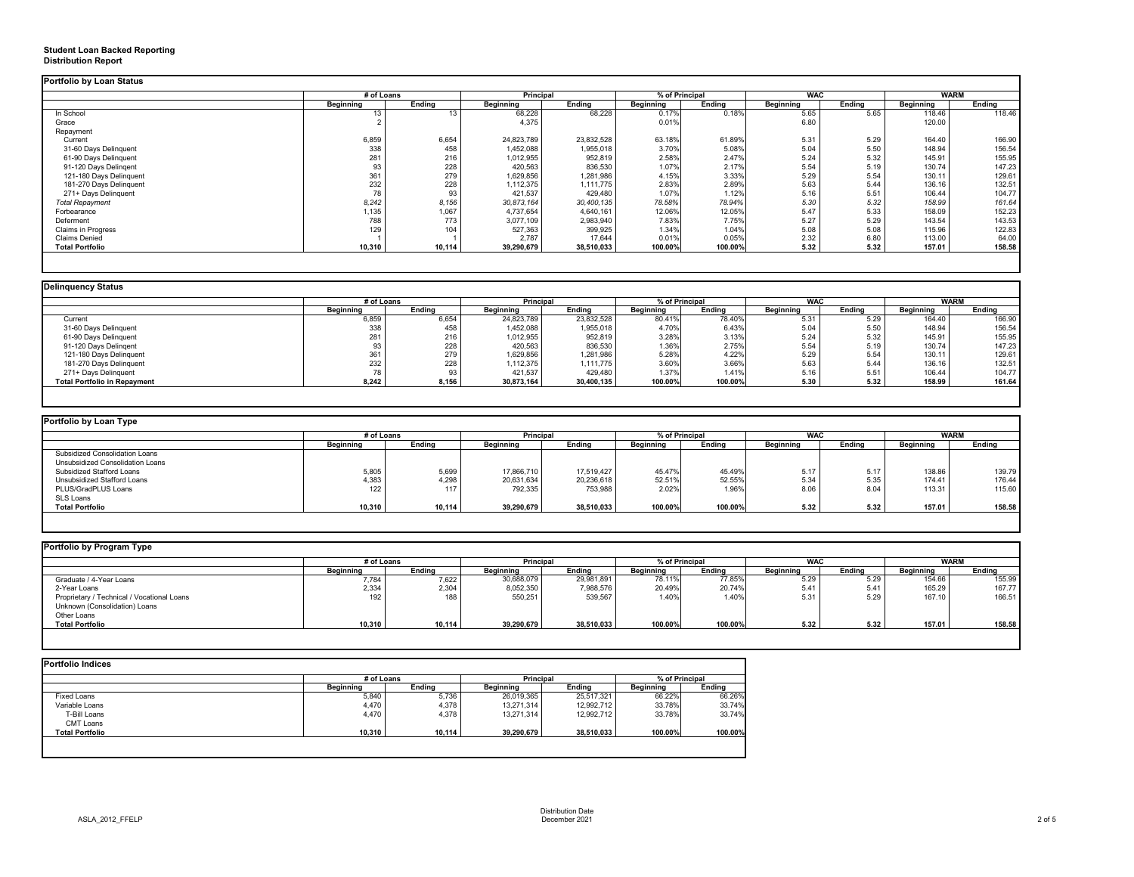# **Student Loan Backed Reporting Distribution Report**

|                           | # of Loans       |               | <b>Principal</b> |               | % of Principal   |               | <b>WAC</b>       |               | <b>WARM</b>      |               |
|---------------------------|------------------|---------------|------------------|---------------|------------------|---------------|------------------|---------------|------------------|---------------|
|                           | <b>Beginning</b> | <b>Ending</b> | <b>Beginning</b> | <b>Ending</b> | <b>Beginning</b> | <b>Ending</b> | <b>Beginning</b> | <b>Ending</b> | <b>Beginning</b> | <b>Ending</b> |
| In School                 |                  | 13            | 68,228           | 68,228        | 0.17%            | 0.18%         | 5.65             | 5.65          | 118.46           | 118.46        |
| Grace                     |                  |               | 4,375            |               | 0.01%            |               | 6.80             |               | 120.00           |               |
| Repayment                 |                  |               |                  |               |                  |               |                  |               |                  |               |
| Current                   | 6,859            | 6,654         | 24,823,789       | 23,832,528    | 63.18%           | 61.89%        | 5.31             | 5.29          | 164.40           | 166.90        |
| 31-60 Days Delinquent     | 338              | 458           | 1,452,088        | 1,955,018     | 3.70%            | 5.08%         | 5.04             | 5.50          | 148.94           | 156.54        |
| 61-90 Days Delinquent     | 281              | 216           | 1,012,955        | 952,819       | 2.58%            | 2.47%         | 5.24             | 5.32          | 145.91           | 155.95        |
| 91-120 Days Delingent     |                  | 228           | 420,563          | 836,530       | 1.07%            | 2.17%         | 5.54             | 5.19          | 130.74           | 147.23        |
| 121-180 Days Delinquent   | 361              | 279           | 1,629,856        | 1,281,986     | 4.15%            | 3.33%         | 5.29             | 5.54          | 130.11           | 129.61        |
| 181-270 Days Delinquent   | 232              | 228           | 1,112,375        | 1,111,775     | 2.83%            | 2.89%         | 5.63             | 5.44          | 136.16           | 132.51        |
| 271+ Days Delinquent      | 78               | 93            | 421,537          | 429,480       | 1.07%            | 1.12%         | 5.16             | 5.51          | 106.44           | 104.77        |
| <b>Total Repayment</b>    | 8,242            | 8,156         | 30,873,164       | 30,400,135    | 78.58%           | 78.94%        | 5.30             | 5.32          | 158.99           | 161.64        |
| Forbearance               | 1,135            | 1,067         | 4,737,654        | 4,640,161     | 12.06%           | 12.05%        | 5.47             | 5.33          | 158.09           | 152.23        |
| Deferment                 | 788              | 773           | 3,077,109        | 2,983,940     | 7.83%            | 7.75%         | 5.27             | 5.29          | 143.54           | 143.53        |
| <b>Claims in Progress</b> | 129              | 104           | 527,363          | 399,925       | 1.34%            | 1.04%         | 5.08             | 5.08          | 115.96           | 122.83        |
| <b>Claims Denied</b>      |                  |               | 2,787            | 17,644        | 0.01%            | 0.05%         | 2.32             | 6.80          | 113.00           | 64.00         |
| <b>Total Portfolio</b>    | 10,310           | 10,114        | 39,290,679       | 38,510,033    | 100.00%          | 100.00%       | 5.32             | 5.32          | 157.01           | 158.58        |

| Delinquency Status                  |                  |               |                  |               |                  |               |                  |               |                  |               |  |
|-------------------------------------|------------------|---------------|------------------|---------------|------------------|---------------|------------------|---------------|------------------|---------------|--|
|                                     | # of Loans       |               | <b>Principal</b> |               | % of Principal   |               | <b>WAC</b>       |               | <b>WARM</b>      |               |  |
|                                     | <b>Beginning</b> | <b>Ending</b> | <b>Beginning</b> | <b>Ending</b> | <b>Beginning</b> | <b>Ending</b> | <b>Beginning</b> | <b>Ending</b> | <b>Beginning</b> | <b>Ending</b> |  |
| Current                             | 6,859            | 6,654         | 24,823,789       | 23,832,528    | 80.41%           | 78.40%        | 5.31             | 5.29          | 164.40           | 166.90        |  |
| 31-60 Days Delinquent               | 338              | 458           | ,452,088         | 1,955,018     | 4.70%            | 6.43%         | 5.04             | 5.50          | 148.94           | 156.54        |  |
| 61-90 Days Delinquent               | 281              | 216           | 1,012,955        | 952,819       | 3.28%            | 3.13%         | 5.24             | 5.32          | 145.91           | 155.95        |  |
| 91-120 Days Delingent               | 93               | 228           | 420,563          | 836,530       | 1.36%            | 2.75%         | 5.54             | 5.19          | 130.74           | 147.23        |  |
| 121-180 Days Delinquent             | 361              | 279           | 1,629,856        | 1,281,986     | 5.28%            | 4.22%         | 5.29             | 5.54          | 130.11           | 129.61        |  |
| 181-270 Days Delinquent             | 232              | 228           | 1,112,375        | 1,111,775     | 3.60%            | 3.66%         | 5.63             | 5.44          | 136.16           | 132.51        |  |
| 271+ Days Delinquent                |                  | 93            | 421,537          | 429,480       | 1.37%            | 1.41%         | 5.16             | 5.51          | 106.44           | 104.77        |  |
| <b>Total Portfolio in Repayment</b> | 8,242            | 8,156         | 30,873,164       | 30,400,135    | 100.00%          | 100.00%       | 5.30             | 5.32          | 158.99           | 161.64        |  |
|                                     |                  |               |                  |               |                  |               |                  |               |                  |               |  |

|                                       |                  | # of Loans    |                  | % of Principal<br><b>Principal</b> |                  | <b>WAC</b> |                  |               | <b>WARM</b>      |        |
|---------------------------------------|------------------|---------------|------------------|------------------------------------|------------------|------------|------------------|---------------|------------------|--------|
|                                       | <b>Beginning</b> | <b>Ending</b> | <b>Beginning</b> | <b>Ending</b>                      | <b>Beginning</b> | Ending     | <b>Beginning</b> | <b>Ending</b> | <b>Beginning</b> | Ending |
| <b>Subsidized Consolidation Loans</b> |                  |               |                  |                                    |                  |            |                  |               |                  |        |
| Unsubsidized Consolidation Loans      |                  |               |                  |                                    |                  |            |                  |               |                  |        |
| <b>Subsidized Stafford Loans</b>      | 5,805            | 5,699         | 17,866,710       | 17,519,427                         | 45.47%           | 45.49%     | 5.17             | 5.17          | 138.86           | 139.79 |
| Unsubsidized Stafford Loans           | 4,383            | 4,298         | 20,631,634       | 20,236,618                         | 52.51%           | 52.55%     | 5.34             | 5.35          | 174.41           | 176.44 |
| PLUS/GradPLUS Loans                   | 122              | 117           | 792,335          | 753,988                            | 2.02%            | 1.96%      | 8.06             | 8.04          | 113.31           | 115.60 |
| SLS Loans                             |                  |               |                  |                                    |                  |            |                  |               |                  |        |
| <b>Total Portfolio</b>                | 10,310           | 10,114        | 39,290,679       | 38,510,033                         | 100.00%          | 100.00%    | 5.32             | 5.32          | 157.01           | 158.58 |

| Portfolio by Program Type                  |                  |               |                  |               |                  |               |                  |               |                  |               |
|--------------------------------------------|------------------|---------------|------------------|---------------|------------------|---------------|------------------|---------------|------------------|---------------|
|                                            | # of Loans       |               | <b>Principal</b> |               | % of Principal   |               | <b>WAC</b>       |               |                  | <b>WARM</b>   |
|                                            | <b>Beginning</b> | <b>Ending</b> | <b>Beginning</b> | <b>Ending</b> | <b>Beginning</b> | <b>Ending</b> | <b>Beginning</b> | <b>Ending</b> | <b>Beginning</b> | <b>Ending</b> |
| Graduate / 4-Year Loans                    | 7,784            | 7,622         | 30,688,079       | 29,981,891    | 78.11%           | 77.85%        | 5.29             | 5.29          | 154.66           | 155.99        |
| 2-Year Loans                               | 2,334            | 2,304         | 8,052,350        | 7,988,576     | 20.49%           | 20.74%        | 5.41             | 5.41          | 165.29           | 167.77        |
| Proprietary / Technical / Vocational Loans | 192              | 188           | 550,251          | 539,567       | 1.40%            | 1.40%         | 5.31             | 5.29          | 167.10           | 166.51        |
| Unknown (Consolidation) Loans              |                  |               |                  |               |                  |               |                  |               |                  |               |
| Other Loans                                |                  |               |                  |               |                  |               |                  |               |                  |               |
| <b>Total Portfolio</b>                     | 10,310           | 10,114        | 39,290,679       | 38,510,033    | 100.00%          | 100.00%       | 5.32             | 5.32          | 157.01           | 158.58        |
|                                            |                  |               |                  |               |                  |               |                  |               |                  |               |
|                                            |                  |               |                  |               |                  |               |                  |               |                  |               |

|                        |                  | # of Loans    |                  | <b>Principal</b> |                  | % of Principal |  |
|------------------------|------------------|---------------|------------------|------------------|------------------|----------------|--|
|                        | <b>Beginning</b> | <b>Ending</b> | <b>Beginning</b> | <b>Ending</b>    | <b>Beginning</b> | <b>Ending</b>  |  |
| <b>Fixed Loans</b>     | 5,840            | 5,736         | 26,019,365       | 25,517,321       | 66.22%           | 66.26%         |  |
| Variable Loans         | 4,470            | 4,378         | 13,271,314       | 12,992,712       | 33.78%           | 33.74%         |  |
| T-Bill Loans           | 4,470            | 4,378         | 13,271,314       | 12,992,712       | 33.78%           | 33.74%         |  |
| <b>CMT Loans</b>       |                  |               |                  |                  |                  |                |  |
| <b>Total Portfolio</b> | 10,310           | 10,114        | 39,290,679       | 38,510,033       | 100.00%          | 100.00%        |  |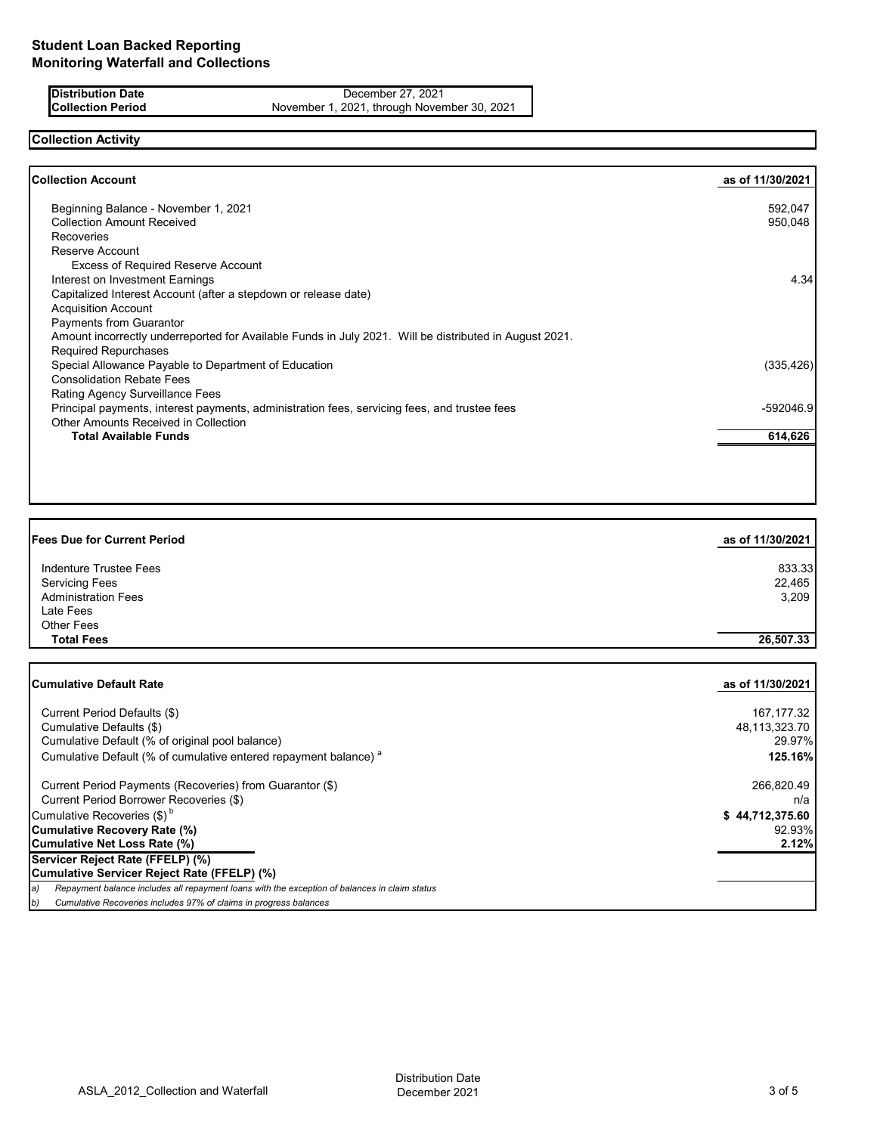**Distribution Date** December 27, 2021<br>**Collection Period** November 1, 2021, through Novem November 1, 2021, through November 30, 2021

# **Collection Activity**

| as of 11/30/2021 |
|------------------|
| 592,047          |
| 950,048          |
|                  |
|                  |
|                  |
| 4.34             |
|                  |
|                  |
|                  |
|                  |
|                  |
| (335, 426)       |
|                  |
|                  |
| -592046.9        |
|                  |
| 614,626          |
|                  |

| <b>Fees Due for Current Period</b>                                                                  | as of 11/30/2021 |
|-----------------------------------------------------------------------------------------------------|------------------|
| Indenture Trustee Fees                                                                              | 833.33           |
| <b>Servicing Fees</b>                                                                               | 22,465           |
| <b>Administration Fees</b>                                                                          | 3,209            |
| Late Fees                                                                                           |                  |
| <b>Other Fees</b>                                                                                   |                  |
| <b>Total Fees</b>                                                                                   | 26,507.33        |
|                                                                                                     |                  |
| <b>Cumulative Default Rate</b>                                                                      | as of 11/30/2021 |
| Current Period Defaults (\$)                                                                        | 167, 177.32      |
| Cumulative Defaults (\$)                                                                            | 48,113,323.70    |
| Cumulative Default (% of original pool balance)                                                     | 29.97%           |
| Cumulative Default (% of cumulative entered repayment balance) <sup>a</sup>                         | 125.16%          |
| Current Period Payments (Recoveries) from Guarantor (\$)                                            | 266,820.49       |
| Current Period Borrower Recoveries (\$)                                                             | n/a              |
| Cumulative Recoveries (\$) <sup>b</sup>                                                             | \$44,712,375.60  |
| <b>Cumulative Recovery Rate (%)</b>                                                                 | 92.93%           |
| <b>Cumulative Net Loss Rate (%)</b>                                                                 | 2.12%            |
| Servicer Reject Rate (FFELP) (%)                                                                    |                  |
| Cumulative Servicer Reject Rate (FFELP) (%)                                                         |                  |
| Repayment balance includes all repayment loans with the exception of balances in claim status<br>a) |                  |

*b) Cumulative Recoveries includes 97% of claims in progress balances*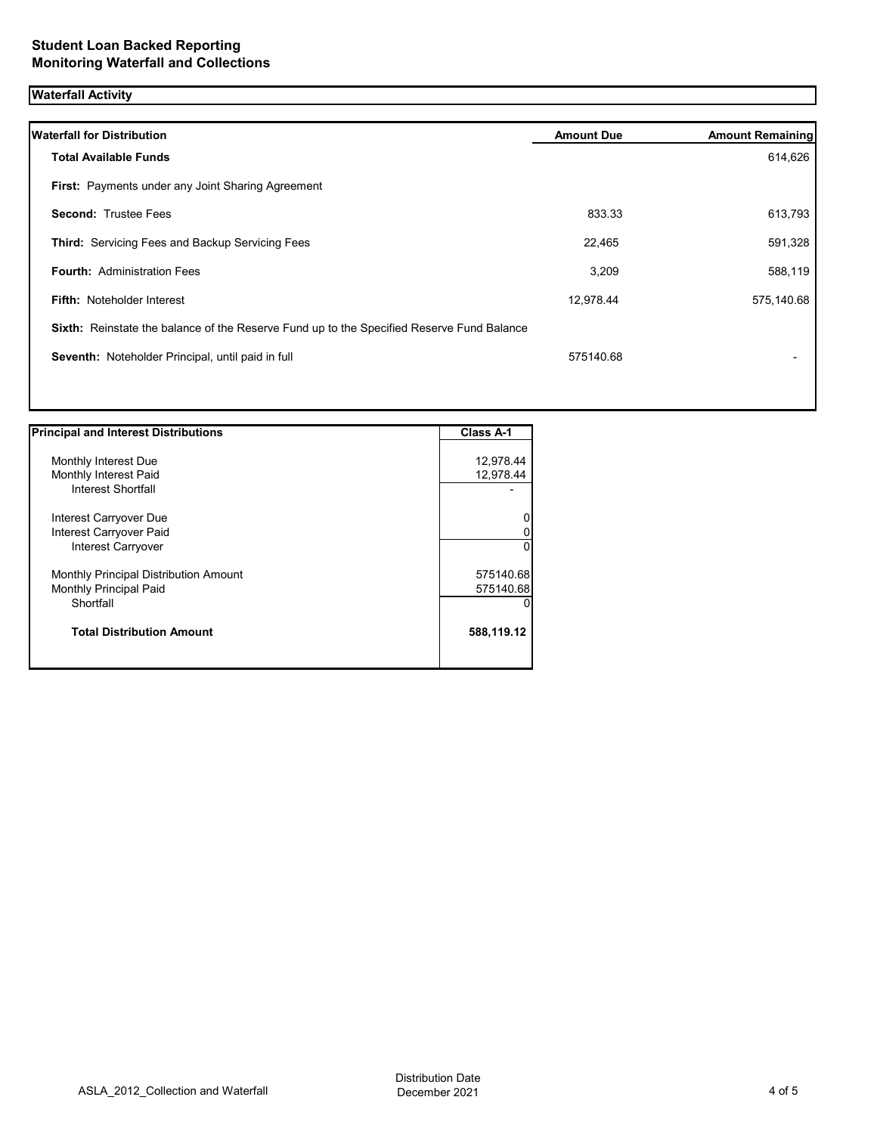# **Waterfall Activity**

| <b>Waterfall for Distribution</b>                                                         | <b>Amount Due</b> | <b>Amount Remaining</b> |
|-------------------------------------------------------------------------------------------|-------------------|-------------------------|
| <b>Total Available Funds</b>                                                              |                   | 614,626                 |
| <b>First:</b> Payments under any Joint Sharing Agreement                                  |                   |                         |
| <b>Second: Trustee Fees</b>                                                               | 833.33            | 613,793                 |
| <b>Third: Servicing Fees and Backup Servicing Fees</b>                                    | 22,465            | 591,328                 |
| <b>Fourth: Administration Fees</b>                                                        | 3,209             | 588,119                 |
| <b>Fifth: Noteholder Interest</b>                                                         | 12,978.44         | 575,140.68              |
| Sixth: Reinstate the balance of the Reserve Fund up to the Specified Reserve Fund Balance |                   |                         |
| Seventh: Noteholder Principal, until paid in full                                         | 575140.68         |                         |
|                                                                                           |                   |                         |
|                                                                                           |                   |                         |

| <b>Principal and Interest Distributions</b> | Class A-1  |
|---------------------------------------------|------------|
|                                             |            |
| Monthly Interest Due                        | 12,978.44  |
| Monthly Interest Paid                       | 12,978.44  |
| Interest Shortfall                          |            |
| Interest Carryover Due                      |            |
| Interest Carryover Paid                     |            |
| Interest Carryover                          | 0          |
| Monthly Principal Distribution Amount       | 575140.68  |
| Monthly Principal Paid                      | 575140.68  |
| Shortfall                                   |            |
| <b>Total Distribution Amount</b>            | 588,119.12 |
|                                             |            |